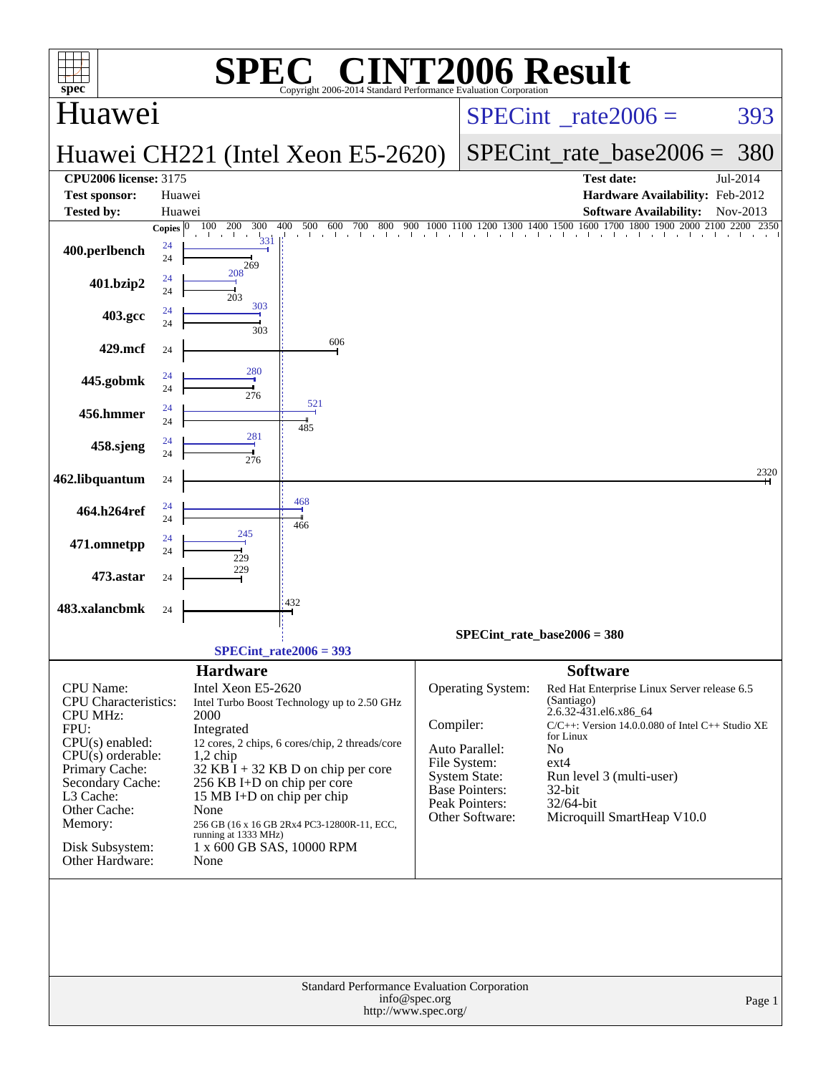| <b>INT2006 Result</b><br>$\blacksquare$<br>SPE<br>spec <sup>®</sup><br>Copyright 2006-2014 Standard Performance Evaluation Corporation                                                                                                     |                                                                                                                                                                                                                                                                                                                                                                                                      |                                                                                                                                                                                                                                                                                                                                                                                                                                                                |  |  |  |  |  |  |  |  |
|--------------------------------------------------------------------------------------------------------------------------------------------------------------------------------------------------------------------------------------------|------------------------------------------------------------------------------------------------------------------------------------------------------------------------------------------------------------------------------------------------------------------------------------------------------------------------------------------------------------------------------------------------------|----------------------------------------------------------------------------------------------------------------------------------------------------------------------------------------------------------------------------------------------------------------------------------------------------------------------------------------------------------------------------------------------------------------------------------------------------------------|--|--|--|--|--|--|--|--|
| Huawei                                                                                                                                                                                                                                     |                                                                                                                                                                                                                                                                                                                                                                                                      | $SPECint^{\circ}$ <sub>_rate2006</sub> =<br>393                                                                                                                                                                                                                                                                                                                                                                                                                |  |  |  |  |  |  |  |  |
|                                                                                                                                                                                                                                            | Huawei CH221 (Intel Xeon E5-2620)                                                                                                                                                                                                                                                                                                                                                                    | $SPECint$ rate base2006 =<br>380                                                                                                                                                                                                                                                                                                                                                                                                                               |  |  |  |  |  |  |  |  |
| <b>CPU2006 license: 3175</b>                                                                                                                                                                                                               |                                                                                                                                                                                                                                                                                                                                                                                                      | <b>Test date:</b><br>Jul-2014                                                                                                                                                                                                                                                                                                                                                                                                                                  |  |  |  |  |  |  |  |  |
| <b>Test sponsor:</b>                                                                                                                                                                                                                       | Huawei                                                                                                                                                                                                                                                                                                                                                                                               | Hardware Availability: Feb-2012                                                                                                                                                                                                                                                                                                                                                                                                                                |  |  |  |  |  |  |  |  |
| <b>Tested by:</b>                                                                                                                                                                                                                          | Huawei                                                                                                                                                                                                                                                                                                                                                                                               | <b>Software Availability:</b><br>Nov-2013                                                                                                                                                                                                                                                                                                                                                                                                                      |  |  |  |  |  |  |  |  |
| 400.perlbench                                                                                                                                                                                                                              | 100<br>200<br>300<br>400<br>500<br>600<br>700<br>$800 \t 900 \t 10$<br>Copies $ 0 $<br>331<br>24<br>24                                                                                                                                                                                                                                                                                               | $\frac{900}{1000} \cdot \frac{1000}{1000} \cdot \frac{1100}{1000} \cdot \frac{1200}{1000} \cdot \frac{1400}{1000} \cdot \frac{1500}{1000} \cdot \frac{1600}{1000} \cdot \frac{1700}{1000} \cdot \frac{1800}{1000} \cdot \frac{2000}{2000} \cdot \frac{2100}{2000} \cdot \frac{2200}{2350} \cdot \frac{2350}{1000} \cdot \frac{2100}{2000} \cdot \frac{2100}{200$                                                                                               |  |  |  |  |  |  |  |  |
| 401.bzip2                                                                                                                                                                                                                                  | 269<br>208<br>24<br>24                                                                                                                                                                                                                                                                                                                                                                               |                                                                                                                                                                                                                                                                                                                                                                                                                                                                |  |  |  |  |  |  |  |  |
| 403.gcc                                                                                                                                                                                                                                    | 203<br>303<br>24<br>24                                                                                                                                                                                                                                                                                                                                                                               |                                                                                                                                                                                                                                                                                                                                                                                                                                                                |  |  |  |  |  |  |  |  |
| 429.mcf                                                                                                                                                                                                                                    | 303<br>606<br>24                                                                                                                                                                                                                                                                                                                                                                                     |                                                                                                                                                                                                                                                                                                                                                                                                                                                                |  |  |  |  |  |  |  |  |
| 445.gobmk                                                                                                                                                                                                                                  | 280<br>24<br>24<br>276                                                                                                                                                                                                                                                                                                                                                                               |                                                                                                                                                                                                                                                                                                                                                                                                                                                                |  |  |  |  |  |  |  |  |
| 456.hmmer                                                                                                                                                                                                                                  | 521<br>24<br>24<br>485                                                                                                                                                                                                                                                                                                                                                                               |                                                                                                                                                                                                                                                                                                                                                                                                                                                                |  |  |  |  |  |  |  |  |
| 458.sjeng                                                                                                                                                                                                                                  | 281<br>24<br>24<br>276                                                                                                                                                                                                                                                                                                                                                                               |                                                                                                                                                                                                                                                                                                                                                                                                                                                                |  |  |  |  |  |  |  |  |
| 462.libquantum                                                                                                                                                                                                                             | 24<br>468                                                                                                                                                                                                                                                                                                                                                                                            | 2320                                                                                                                                                                                                                                                                                                                                                                                                                                                           |  |  |  |  |  |  |  |  |
| 464.h264ref                                                                                                                                                                                                                                | 24<br>24<br>466<br>245                                                                                                                                                                                                                                                                                                                                                                               |                                                                                                                                                                                                                                                                                                                                                                                                                                                                |  |  |  |  |  |  |  |  |
| 471.omnetpp                                                                                                                                                                                                                                | 24<br>24<br>229<br>229                                                                                                                                                                                                                                                                                                                                                                               |                                                                                                                                                                                                                                                                                                                                                                                                                                                                |  |  |  |  |  |  |  |  |
| 473.astar                                                                                                                                                                                                                                  | 24<br>432                                                                                                                                                                                                                                                                                                                                                                                            |                                                                                                                                                                                                                                                                                                                                                                                                                                                                |  |  |  |  |  |  |  |  |
| 483.xalancbmk                                                                                                                                                                                                                              | 24                                                                                                                                                                                                                                                                                                                                                                                                   | SPECint rate base2006 = $380$                                                                                                                                                                                                                                                                                                                                                                                                                                  |  |  |  |  |  |  |  |  |
|                                                                                                                                                                                                                                            | $SPECint_rate2006 = 393$                                                                                                                                                                                                                                                                                                                                                                             |                                                                                                                                                                                                                                                                                                                                                                                                                                                                |  |  |  |  |  |  |  |  |
| <b>CPU</b> Name:<br><b>CPU</b> Characteristics:<br><b>CPU MHz:</b><br>FPU:<br>$CPU(s)$ enabled:<br>$CPU(s)$ orderable:<br>Primary Cache:<br>Secondary Cache:<br>L3 Cache:<br>Other Cache:<br>Memory:<br>Disk Subsystem:<br>Other Hardware: | <b>Hardware</b><br>Intel Xeon E5-2620<br>Intel Turbo Boost Technology up to 2.50 GHz<br>2000<br>Integrated<br>12 cores, 2 chips, 6 cores/chip, 2 threads/core<br>$1,2$ chip<br>$32$ KB I + 32 KB D on chip per core<br>256 KB I+D on chip per core<br>15 MB I+D on chip per chip<br>None<br>256 GB (16 x 16 GB 2Rx4 PC3-12800R-11, ECC,<br>running at 1333 MHz)<br>1 x 600 GB SAS, 10000 RPM<br>None | <b>Software</b><br><b>Operating System:</b><br>Red Hat Enterprise Linux Server release 6.5<br>(Santiago)<br>2.6.32-431.el6.x86_64<br>Compiler:<br>$C/C++$ : Version 14.0.0.080 of Intel $C++$ Studio XE<br>for Linux<br>Auto Parallel:<br>N <sub>o</sub><br>File System:<br>$ext{4}$<br><b>System State:</b><br>Run level 3 (multi-user)<br><b>Base Pointers:</b><br>$32$ -bit<br>Peak Pointers:<br>32/64-bit<br>Other Software:<br>Microquill SmartHeap V10.0 |  |  |  |  |  |  |  |  |
|                                                                                                                                                                                                                                            | Standard Performance Evaluation Corporation<br>info@spec.org<br>http://www.spec.org/                                                                                                                                                                                                                                                                                                                 | Page 1                                                                                                                                                                                                                                                                                                                                                                                                                                                         |  |  |  |  |  |  |  |  |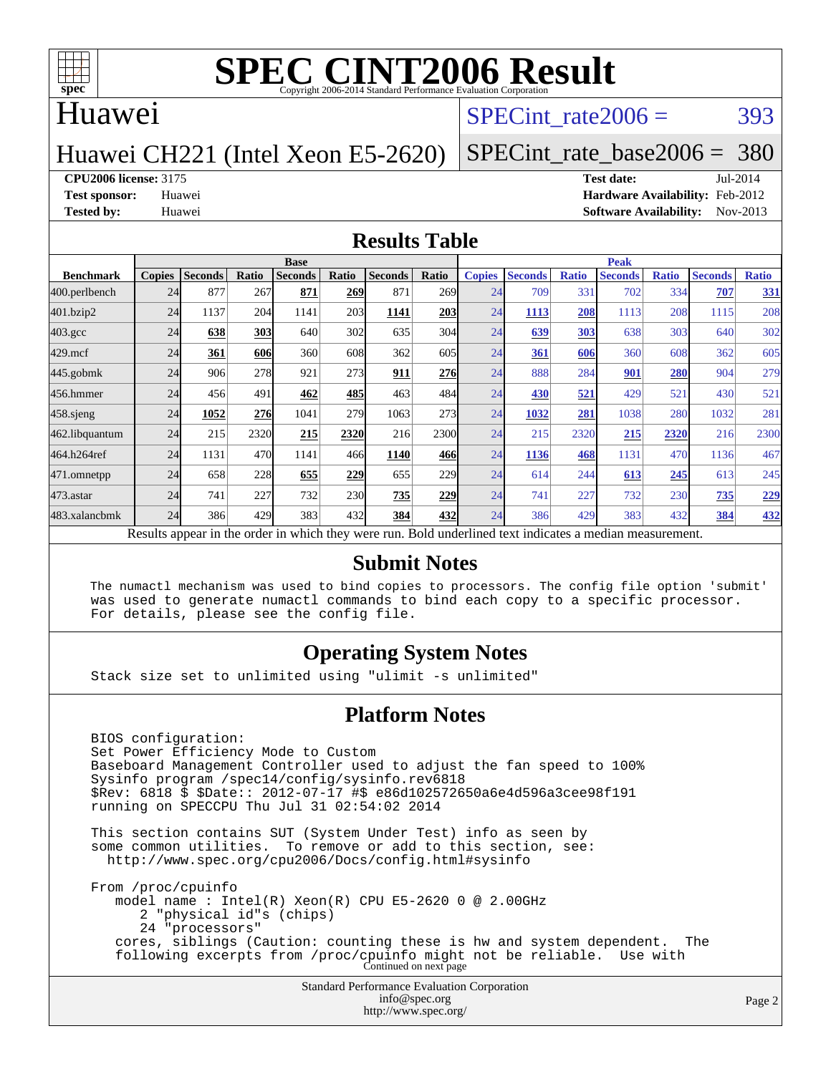

#### Huawei

#### SPECint rate $2006 = 393$

#### Huawei CH221 (Intel Xeon E5-2620)

### [SPECint\\_rate\\_base2006 =](http://www.spec.org/auto/cpu2006/Docs/result-fields.html#SPECintratebase2006) 380

#### **[CPU2006 license:](http://www.spec.org/auto/cpu2006/Docs/result-fields.html#CPU2006license)** 3175 **[Test date:](http://www.spec.org/auto/cpu2006/Docs/result-fields.html#Testdate)** Jul-2014

**[Test sponsor:](http://www.spec.org/auto/cpu2006/Docs/result-fields.html#Testsponsor)** Huawei **[Hardware Availability:](http://www.spec.org/auto/cpu2006/Docs/result-fields.html#HardwareAvailability)** Feb-2012 **[Tested by:](http://www.spec.org/auto/cpu2006/Docs/result-fields.html#Testedby)** Huawei **[Software Availability:](http://www.spec.org/auto/cpu2006/Docs/result-fields.html#SoftwareAvailability)** Nov-2013

#### **[Results Table](http://www.spec.org/auto/cpu2006/Docs/result-fields.html#ResultsTable)**

|                                                                                                          | <b>Base</b>   |                |       |                |            |                |       | <b>Peak</b>   |                |              |                |              |                |              |
|----------------------------------------------------------------------------------------------------------|---------------|----------------|-------|----------------|------------|----------------|-------|---------------|----------------|--------------|----------------|--------------|----------------|--------------|
| <b>Benchmark</b>                                                                                         | <b>Copies</b> | <b>Seconds</b> | Ratio | <b>Seconds</b> | Ratio      | <b>Seconds</b> | Ratio | <b>Copies</b> | <b>Seconds</b> | <b>Ratio</b> | <b>Seconds</b> | <b>Ratio</b> | <b>Seconds</b> | <b>Ratio</b> |
| 400.perlbench                                                                                            | 24            | 877            | 267   | 871            | 269        | 871            | 269I  | 24            | 709            | 331          | 702            | 334          | 707            | <u>331</u>   |
| 401.bzip2                                                                                                | 24            | 1137           | 204   | 1141           | 203        | 1141           | 203   | 24            | 1113           | 208          | 1113           | 208          | 1115           | 208          |
| $403.\text{gcc}$                                                                                         | 24            | 638            | 303   | 640            | 302        | 635            | 304   | 24            | 639            | 303          | 638            | 303          | 640            | 302          |
| $429$ .mcf                                                                                               | 24            | 361            | 606   | 360            | 608        | 362            | 605   | 24            | 361            | 606          | 360            | 608          | 362            | 605          |
| $445$ .gobmk                                                                                             | 24            | 906            | 278   | 921            | 273        | 911            | 276   | 24            | 888            | 284          | 901            | <b>280</b>   | 904            | 279          |
| 456.hmmer                                                                                                | 24            | 456            | 491   | 462            | 485        | 463            | 484   | 24            | 430            | 521          | 429            | 521          | 430            | 521          |
| $458$ .sjeng                                                                                             | 24            | 1052           | 276   | 1041           | 279        | 1063           | 273   | 24            | 1032           | 281          | 1038           | 280          | 1032           | 281          |
| 462.libquantum                                                                                           | 24            | 215            | 2320  | 215            | 2320       | 216            | 2300l | 24            | 215            | 2320         | 215            | 2320         | 216            | 2300         |
| 464.h264ref                                                                                              | 24            | 1131           | 470   | 1141           | 466        | 1140           | 466   | 24            | 1136           | 468          | 1131           | 470          | 1136           | 467          |
| 471.omnetpp                                                                                              | 24            | 658            | 228   | 655            | 229        | 655            | 229   | 24            | 614            | 244          | 613            | 245          | 613            | 245          |
| 473.astar                                                                                                | 24            | 741            | 227   | 732            | <b>230</b> | 735            | 229   | 24            | 741            | 227          | 732            | 230          | 735            | <u>229</u>   |
| 483.xalancbmk                                                                                            | 24            | 386            | 429   | 383            | 432        | 384            | 432   | 24            | 386            | 429          | 383            | 432          | 384            | 432          |
| Results appear in the order in which they were run. Bold underlined text indicates a median measurement. |               |                |       |                |            |                |       |               |                |              |                |              |                |              |

#### **[Submit Notes](http://www.spec.org/auto/cpu2006/Docs/result-fields.html#SubmitNotes)**

 The numactl mechanism was used to bind copies to processors. The config file option 'submit' was used to generate numactl commands to bind each copy to a specific processor. For details, please see the config file.

#### **[Operating System Notes](http://www.spec.org/auto/cpu2006/Docs/result-fields.html#OperatingSystemNotes)**

Stack size set to unlimited using "ulimit -s unlimited"

#### **[Platform Notes](http://www.spec.org/auto/cpu2006/Docs/result-fields.html#PlatformNotes)**

 BIOS configuration: Set Power Efficiency Mode to Custom Baseboard Management Controller used to adjust the fan speed to 100% Sysinfo program /spec14/config/sysinfo.rev6818 \$Rev: 6818 \$ \$Date:: 2012-07-17 #\$ e86d102572650a6e4d596a3cee98f191 running on SPECCPU Thu Jul 31 02:54:02 2014 This section contains SUT (System Under Test) info as seen by some common utilities. To remove or add to this section, see: <http://www.spec.org/cpu2006/Docs/config.html#sysinfo> From /proc/cpuinfo model name : Intel(R) Xeon(R) CPU E5-2620 0 @ 2.00GHz 2 "physical id"s (chips) 24 "processors" cores, siblings (Caution: counting these is hw and system dependent. The

following excerpts from /proc/cpuinfo might not be reliable. Use with Continued on next page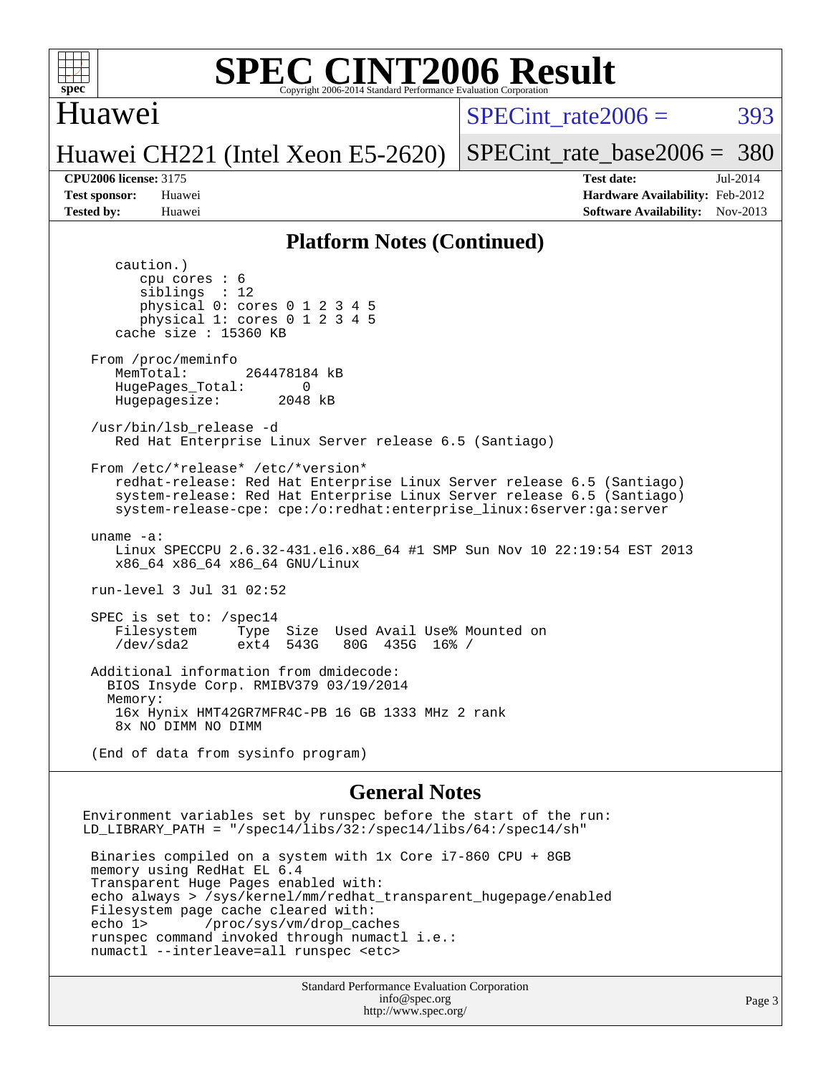

#### Huawei

SPECint rate $2006 = 393$ 

#### Huawei CH221 (Intel Xeon E5-2620)

[SPECint\\_rate\\_base2006 =](http://www.spec.org/auto/cpu2006/Docs/result-fields.html#SPECintratebase2006) 380

**[CPU2006 license:](http://www.spec.org/auto/cpu2006/Docs/result-fields.html#CPU2006license)** 3175 **[Test date:](http://www.spec.org/auto/cpu2006/Docs/result-fields.html#Testdate)** Jul-2014 **[Test sponsor:](http://www.spec.org/auto/cpu2006/Docs/result-fields.html#Testsponsor)** Huawei **[Hardware Availability:](http://www.spec.org/auto/cpu2006/Docs/result-fields.html#HardwareAvailability)** Feb-2012 **[Tested by:](http://www.spec.org/auto/cpu2006/Docs/result-fields.html#Testedby)** Huawei **[Software Availability:](http://www.spec.org/auto/cpu2006/Docs/result-fields.html#SoftwareAvailability)** Nov-2013

#### **[Platform Notes \(Continued\)](http://www.spec.org/auto/cpu2006/Docs/result-fields.html#PlatformNotes)**

 caution.) cpu cores : 6 siblings : 12 physical 0: cores 0 1 2 3 4 5 physical 1: cores 0 1 2 3 4 5 cache size : 15360 KB From /proc/meminfo MemTotal: 264478184 kB HugePages\_Total: 0<br>Hugepagesize: 2048 kB Hugepagesize: /usr/bin/lsb\_release -d Red Hat Enterprise Linux Server release 6.5 (Santiago) From /etc/\*release\* /etc/\*version\* redhat-release: Red Hat Enterprise Linux Server release 6.5 (Santiago) system-release: Red Hat Enterprise Linux Server release 6.5 (Santiago) system-release-cpe: cpe:/o:redhat:enterprise\_linux:6server:ga:server uname -a: Linux SPECCPU 2.6.32-431.el6.x86\_64 #1 SMP Sun Nov 10 22:19:54 EST 2013 x86\_64 x86\_64 x86\_64 GNU/Linux run-level 3 Jul 31 02:52 SPEC is set to: /spec14 Filesystem Type Size Used Avail Use% Mounted on<br>
/dev/sda2 ext4 543G 80G 435G 16% / 80G 435G 16% / Additional information from dmidecode: BIOS Insyde Corp. RMIBV379 03/19/2014 Memory: 16x Hynix HMT42GR7MFR4C-PB 16 GB 1333 MHz 2 rank 8x NO DIMM NO DIMM (End of data from sysinfo program)

#### **[General Notes](http://www.spec.org/auto/cpu2006/Docs/result-fields.html#GeneralNotes)**

Environment variables set by runspec before the start of the run: LD\_LIBRARY\_PATH = "/spec14/libs/32:/spec14/libs/64:/spec14/sh"

 Binaries compiled on a system with 1x Core i7-860 CPU + 8GB memory using RedHat EL 6.4 Transparent Huge Pages enabled with: echo always > /sys/kernel/mm/redhat\_transparent\_hugepage/enabled Filesystem page cache cleared with: echo 1> /proc/sys/vm/drop\_caches runspec command invoked through numactl i.e.: numactl --interleave=all runspec <etc>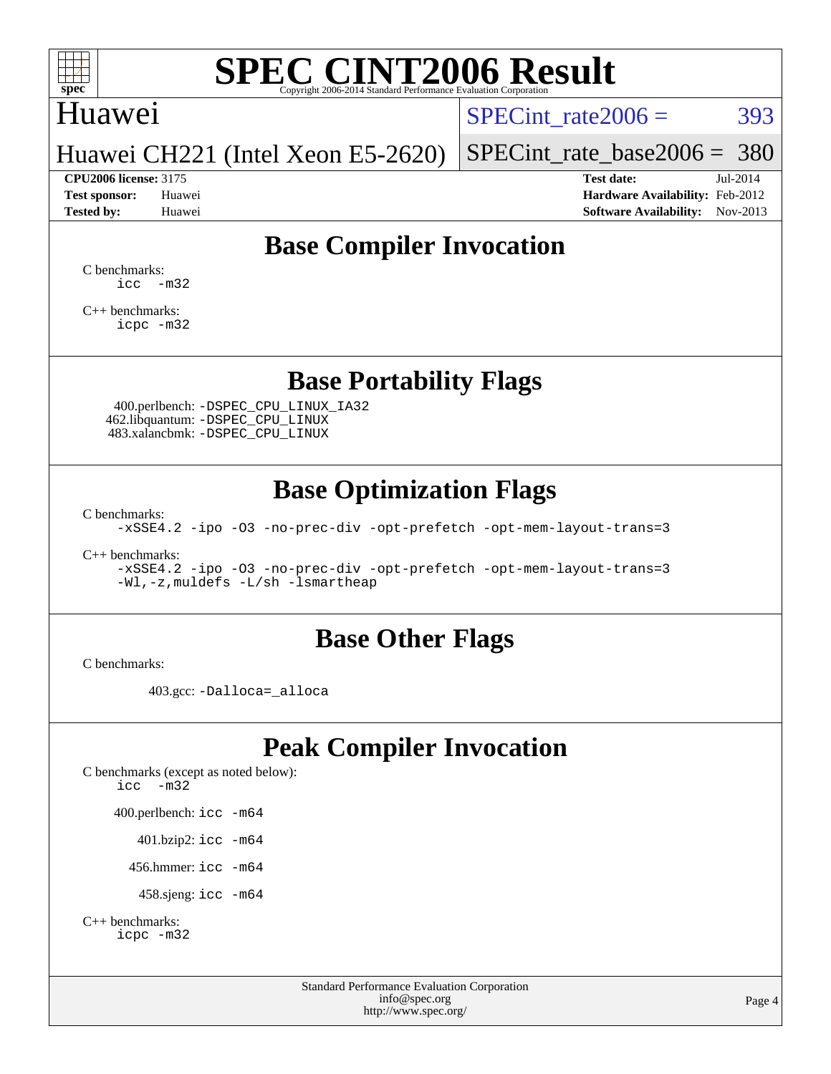

### Huawei

 $SPECTnt_rate2006 = 393$ 

[SPECint\\_rate\\_base2006 =](http://www.spec.org/auto/cpu2006/Docs/result-fields.html#SPECintratebase2006) 380

# Huawei CH221 (Intel Xeon E5-2620)

**[CPU2006 license:](http://www.spec.org/auto/cpu2006/Docs/result-fields.html#CPU2006license)** 3175 **[Test date:](http://www.spec.org/auto/cpu2006/Docs/result-fields.html#Testdate)** Jul-2014 **[Test sponsor:](http://www.spec.org/auto/cpu2006/Docs/result-fields.html#Testsponsor)** Huawei **[Hardware Availability:](http://www.spec.org/auto/cpu2006/Docs/result-fields.html#HardwareAvailability)** Feb-2012 **[Tested by:](http://www.spec.org/auto/cpu2006/Docs/result-fields.html#Testedby)** Huawei **[Software Availability:](http://www.spec.org/auto/cpu2006/Docs/result-fields.html#SoftwareAvailability)** Nov-2013

### **[Base Compiler Invocation](http://www.spec.org/auto/cpu2006/Docs/result-fields.html#BaseCompilerInvocation)**

[C benchmarks](http://www.spec.org/auto/cpu2006/Docs/result-fields.html#Cbenchmarks):  $\text{icc}$   $-\text{m32}$ 

[C++ benchmarks:](http://www.spec.org/auto/cpu2006/Docs/result-fields.html#CXXbenchmarks) [icpc -m32](http://www.spec.org/cpu2006/results/res2014q3/cpu2006-20140804-30747.flags.html#user_CXXbase_intel_icpc_4e5a5ef1a53fd332b3c49e69c3330699)

#### **[Base Portability Flags](http://www.spec.org/auto/cpu2006/Docs/result-fields.html#BasePortabilityFlags)**

 400.perlbench: [-DSPEC\\_CPU\\_LINUX\\_IA32](http://www.spec.org/cpu2006/results/res2014q3/cpu2006-20140804-30747.flags.html#b400.perlbench_baseCPORTABILITY_DSPEC_CPU_LINUX_IA32) 462.libquantum: [-DSPEC\\_CPU\\_LINUX](http://www.spec.org/cpu2006/results/res2014q3/cpu2006-20140804-30747.flags.html#b462.libquantum_baseCPORTABILITY_DSPEC_CPU_LINUX) 483.xalancbmk: [-DSPEC\\_CPU\\_LINUX](http://www.spec.org/cpu2006/results/res2014q3/cpu2006-20140804-30747.flags.html#b483.xalancbmk_baseCXXPORTABILITY_DSPEC_CPU_LINUX)

#### **[Base Optimization Flags](http://www.spec.org/auto/cpu2006/Docs/result-fields.html#BaseOptimizationFlags)**

[C benchmarks](http://www.spec.org/auto/cpu2006/Docs/result-fields.html#Cbenchmarks):

[-xSSE4.2](http://www.spec.org/cpu2006/results/res2014q3/cpu2006-20140804-30747.flags.html#user_CCbase_f-xSSE42_f91528193cf0b216347adb8b939d4107) [-ipo](http://www.spec.org/cpu2006/results/res2014q3/cpu2006-20140804-30747.flags.html#user_CCbase_f-ipo) [-O3](http://www.spec.org/cpu2006/results/res2014q3/cpu2006-20140804-30747.flags.html#user_CCbase_f-O3) [-no-prec-div](http://www.spec.org/cpu2006/results/res2014q3/cpu2006-20140804-30747.flags.html#user_CCbase_f-no-prec-div) [-opt-prefetch](http://www.spec.org/cpu2006/results/res2014q3/cpu2006-20140804-30747.flags.html#user_CCbase_f-opt-prefetch) [-opt-mem-layout-trans=3](http://www.spec.org/cpu2006/results/res2014q3/cpu2006-20140804-30747.flags.html#user_CCbase_f-opt-mem-layout-trans_a7b82ad4bd7abf52556d4961a2ae94d5)

[C++ benchmarks:](http://www.spec.org/auto/cpu2006/Docs/result-fields.html#CXXbenchmarks)

[-xSSE4.2](http://www.spec.org/cpu2006/results/res2014q3/cpu2006-20140804-30747.flags.html#user_CXXbase_f-xSSE42_f91528193cf0b216347adb8b939d4107) [-ipo](http://www.spec.org/cpu2006/results/res2014q3/cpu2006-20140804-30747.flags.html#user_CXXbase_f-ipo) [-O3](http://www.spec.org/cpu2006/results/res2014q3/cpu2006-20140804-30747.flags.html#user_CXXbase_f-O3) [-no-prec-div](http://www.spec.org/cpu2006/results/res2014q3/cpu2006-20140804-30747.flags.html#user_CXXbase_f-no-prec-div) [-opt-prefetch](http://www.spec.org/cpu2006/results/res2014q3/cpu2006-20140804-30747.flags.html#user_CXXbase_f-opt-prefetch) [-opt-mem-layout-trans=3](http://www.spec.org/cpu2006/results/res2014q3/cpu2006-20140804-30747.flags.html#user_CXXbase_f-opt-mem-layout-trans_a7b82ad4bd7abf52556d4961a2ae94d5) [-Wl,-z,muldefs](http://www.spec.org/cpu2006/results/res2014q3/cpu2006-20140804-30747.flags.html#user_CXXbase_link_force_multiple1_74079c344b956b9658436fd1b6dd3a8a) [-L/sh -lsmartheap](http://www.spec.org/cpu2006/results/res2014q3/cpu2006-20140804-30747.flags.html#user_CXXbase_SmartHeap_32f6c82aa1ed9c52345d30cf6e4a0499)

#### **[Base Other Flags](http://www.spec.org/auto/cpu2006/Docs/result-fields.html#BaseOtherFlags)**

[C benchmarks](http://www.spec.org/auto/cpu2006/Docs/result-fields.html#Cbenchmarks):

403.gcc: [-Dalloca=\\_alloca](http://www.spec.org/cpu2006/results/res2014q3/cpu2006-20140804-30747.flags.html#b403.gcc_baseEXTRA_CFLAGS_Dalloca_be3056838c12de2578596ca5467af7f3)

### **[Peak Compiler Invocation](http://www.spec.org/auto/cpu2006/Docs/result-fields.html#PeakCompilerInvocation)**

[C benchmarks \(except as noted below\)](http://www.spec.org/auto/cpu2006/Docs/result-fields.html#Cbenchmarksexceptasnotedbelow): [icc -m32](http://www.spec.org/cpu2006/results/res2014q3/cpu2006-20140804-30747.flags.html#user_CCpeak_intel_icc_5ff4a39e364c98233615fdd38438c6f2) 400.perlbench: [icc -m64](http://www.spec.org/cpu2006/results/res2014q3/cpu2006-20140804-30747.flags.html#user_peakCCLD400_perlbench_intel_icc_64bit_bda6cc9af1fdbb0edc3795bac97ada53) 401.bzip2: [icc -m64](http://www.spec.org/cpu2006/results/res2014q3/cpu2006-20140804-30747.flags.html#user_peakCCLD401_bzip2_intel_icc_64bit_bda6cc9af1fdbb0edc3795bac97ada53)

456.hmmer: [icc -m64](http://www.spec.org/cpu2006/results/res2014q3/cpu2006-20140804-30747.flags.html#user_peakCCLD456_hmmer_intel_icc_64bit_bda6cc9af1fdbb0edc3795bac97ada53)

458.sjeng: [icc -m64](http://www.spec.org/cpu2006/results/res2014q3/cpu2006-20140804-30747.flags.html#user_peakCCLD458_sjeng_intel_icc_64bit_bda6cc9af1fdbb0edc3795bac97ada53)

```
C++ benchmarks: 
    icpc -m32
```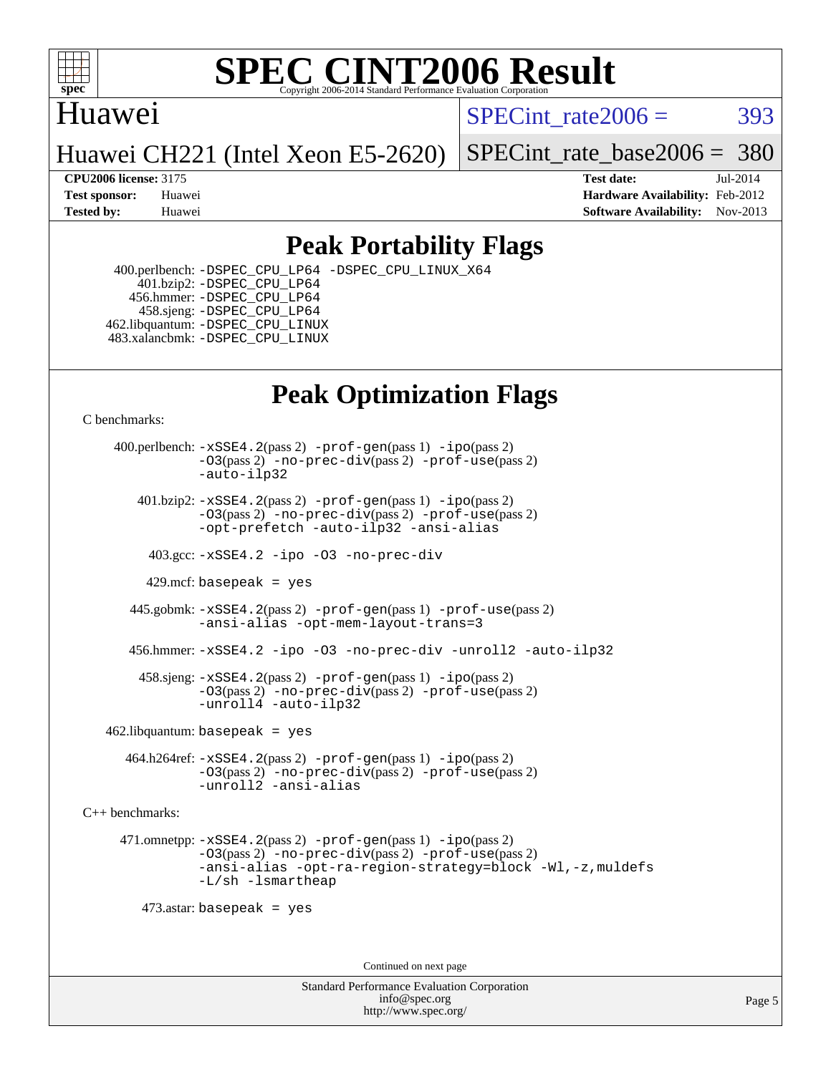

#### Huawei

SPECint rate $2006 = 393$ 

Huawei CH221 (Intel Xeon E5-2620)

[SPECint\\_rate\\_base2006 =](http://www.spec.org/auto/cpu2006/Docs/result-fields.html#SPECintratebase2006) 380

**[CPU2006 license:](http://www.spec.org/auto/cpu2006/Docs/result-fields.html#CPU2006license)** 3175 **[Test date:](http://www.spec.org/auto/cpu2006/Docs/result-fields.html#Testdate)** Jul-2014 **[Test sponsor:](http://www.spec.org/auto/cpu2006/Docs/result-fields.html#Testsponsor)** Huawei **[Hardware Availability:](http://www.spec.org/auto/cpu2006/Docs/result-fields.html#HardwareAvailability)** Feb-2012 **[Tested by:](http://www.spec.org/auto/cpu2006/Docs/result-fields.html#Testedby)** Huawei **[Software Availability:](http://www.spec.org/auto/cpu2006/Docs/result-fields.html#SoftwareAvailability)** Nov-2013

### **[Peak Portability Flags](http://www.spec.org/auto/cpu2006/Docs/result-fields.html#PeakPortabilityFlags)**

 400.perlbench: [-DSPEC\\_CPU\\_LP64](http://www.spec.org/cpu2006/results/res2014q3/cpu2006-20140804-30747.flags.html#b400.perlbench_peakCPORTABILITY_DSPEC_CPU_LP64) [-DSPEC\\_CPU\\_LINUX\\_X64](http://www.spec.org/cpu2006/results/res2014q3/cpu2006-20140804-30747.flags.html#b400.perlbench_peakCPORTABILITY_DSPEC_CPU_LINUX_X64) 401.bzip2: [-DSPEC\\_CPU\\_LP64](http://www.spec.org/cpu2006/results/res2014q3/cpu2006-20140804-30747.flags.html#suite_peakCPORTABILITY401_bzip2_DSPEC_CPU_LP64) 456.hmmer: [-DSPEC\\_CPU\\_LP64](http://www.spec.org/cpu2006/results/res2014q3/cpu2006-20140804-30747.flags.html#suite_peakCPORTABILITY456_hmmer_DSPEC_CPU_LP64) 458.sjeng: [-DSPEC\\_CPU\\_LP64](http://www.spec.org/cpu2006/results/res2014q3/cpu2006-20140804-30747.flags.html#suite_peakCPORTABILITY458_sjeng_DSPEC_CPU_LP64) 462.libquantum: [-DSPEC\\_CPU\\_LINUX](http://www.spec.org/cpu2006/results/res2014q3/cpu2006-20140804-30747.flags.html#b462.libquantum_peakCPORTABILITY_DSPEC_CPU_LINUX) 483.xalancbmk: [-DSPEC\\_CPU\\_LINUX](http://www.spec.org/cpu2006/results/res2014q3/cpu2006-20140804-30747.flags.html#b483.xalancbmk_peakCXXPORTABILITY_DSPEC_CPU_LINUX)

## **[Peak Optimization Flags](http://www.spec.org/auto/cpu2006/Docs/result-fields.html#PeakOptimizationFlags)**

[C benchmarks](http://www.spec.org/auto/cpu2006/Docs/result-fields.html#Cbenchmarks):

 400.perlbench: [-xSSE4.2](http://www.spec.org/cpu2006/results/res2014q3/cpu2006-20140804-30747.flags.html#user_peakPASS2_CFLAGSPASS2_LDCFLAGS400_perlbench_f-xSSE42_f91528193cf0b216347adb8b939d4107)(pass 2) [-prof-gen](http://www.spec.org/cpu2006/results/res2014q3/cpu2006-20140804-30747.flags.html#user_peakPASS1_CFLAGSPASS1_LDCFLAGS400_perlbench_prof_gen_e43856698f6ca7b7e442dfd80e94a8fc)(pass 1) [-ipo](http://www.spec.org/cpu2006/results/res2014q3/cpu2006-20140804-30747.flags.html#user_peakPASS2_CFLAGSPASS2_LDCFLAGS400_perlbench_f-ipo)(pass 2) [-O3](http://www.spec.org/cpu2006/results/res2014q3/cpu2006-20140804-30747.flags.html#user_peakPASS2_CFLAGSPASS2_LDCFLAGS400_perlbench_f-O3)(pass 2) [-no-prec-div](http://www.spec.org/cpu2006/results/res2014q3/cpu2006-20140804-30747.flags.html#user_peakPASS2_CFLAGSPASS2_LDCFLAGS400_perlbench_f-no-prec-div)(pass 2) [-prof-use](http://www.spec.org/cpu2006/results/res2014q3/cpu2006-20140804-30747.flags.html#user_peakPASS2_CFLAGSPASS2_LDCFLAGS400_perlbench_prof_use_bccf7792157ff70d64e32fe3e1250b55)(pass 2) [-auto-ilp32](http://www.spec.org/cpu2006/results/res2014q3/cpu2006-20140804-30747.flags.html#user_peakCOPTIMIZE400_perlbench_f-auto-ilp32)  $401.bzip2: -xSSE4.2(pass 2) -prof-qen(pass 1) -ipo(pass 2)$  $401.bzip2: -xSSE4.2(pass 2) -prof-qen(pass 1) -ipo(pass 2)$  $401.bzip2: -xSSE4.2(pass 2) -prof-qen(pass 1) -ipo(pass 2)$  $401.bzip2: -xSSE4.2(pass 2) -prof-qen(pass 1) -ipo(pass 2)$  $401.bzip2: -xSSE4.2(pass 2) -prof-qen(pass 1) -ipo(pass 2)$ [-O3](http://www.spec.org/cpu2006/results/res2014q3/cpu2006-20140804-30747.flags.html#user_peakPASS2_CFLAGSPASS2_LDCFLAGS401_bzip2_f-O3)(pass 2) [-no-prec-div](http://www.spec.org/cpu2006/results/res2014q3/cpu2006-20140804-30747.flags.html#user_peakPASS2_CFLAGSPASS2_LDCFLAGS401_bzip2_f-no-prec-div)(pass 2) [-prof-use](http://www.spec.org/cpu2006/results/res2014q3/cpu2006-20140804-30747.flags.html#user_peakPASS2_CFLAGSPASS2_LDCFLAGS401_bzip2_prof_use_bccf7792157ff70d64e32fe3e1250b55)(pass 2) [-opt-prefetch](http://www.spec.org/cpu2006/results/res2014q3/cpu2006-20140804-30747.flags.html#user_peakCOPTIMIZE401_bzip2_f-opt-prefetch) [-auto-ilp32](http://www.spec.org/cpu2006/results/res2014q3/cpu2006-20140804-30747.flags.html#user_peakCOPTIMIZE401_bzip2_f-auto-ilp32) [-ansi-alias](http://www.spec.org/cpu2006/results/res2014q3/cpu2006-20140804-30747.flags.html#user_peakCOPTIMIZE401_bzip2_f-ansi-alias) 403.gcc: [-xSSE4.2](http://www.spec.org/cpu2006/results/res2014q3/cpu2006-20140804-30747.flags.html#user_peakCOPTIMIZE403_gcc_f-xSSE42_f91528193cf0b216347adb8b939d4107) [-ipo](http://www.spec.org/cpu2006/results/res2014q3/cpu2006-20140804-30747.flags.html#user_peakCOPTIMIZE403_gcc_f-ipo) [-O3](http://www.spec.org/cpu2006/results/res2014q3/cpu2006-20140804-30747.flags.html#user_peakCOPTIMIZE403_gcc_f-O3) [-no-prec-div](http://www.spec.org/cpu2006/results/res2014q3/cpu2006-20140804-30747.flags.html#user_peakCOPTIMIZE403_gcc_f-no-prec-div) 429.mcf: basepeak = yes 445.gobmk: [-xSSE4.2](http://www.spec.org/cpu2006/results/res2014q3/cpu2006-20140804-30747.flags.html#user_peakPASS2_CFLAGSPASS2_LDCFLAGS445_gobmk_f-xSSE42_f91528193cf0b216347adb8b939d4107)(pass 2) [-prof-gen](http://www.spec.org/cpu2006/results/res2014q3/cpu2006-20140804-30747.flags.html#user_peakPASS1_CFLAGSPASS1_LDCFLAGS445_gobmk_prof_gen_e43856698f6ca7b7e442dfd80e94a8fc)(pass 1) [-prof-use](http://www.spec.org/cpu2006/results/res2014q3/cpu2006-20140804-30747.flags.html#user_peakPASS2_CFLAGSPASS2_LDCFLAGS445_gobmk_prof_use_bccf7792157ff70d64e32fe3e1250b55)(pass 2) [-ansi-alias](http://www.spec.org/cpu2006/results/res2014q3/cpu2006-20140804-30747.flags.html#user_peakCOPTIMIZE445_gobmk_f-ansi-alias) [-opt-mem-layout-trans=3](http://www.spec.org/cpu2006/results/res2014q3/cpu2006-20140804-30747.flags.html#user_peakCOPTIMIZE445_gobmk_f-opt-mem-layout-trans_a7b82ad4bd7abf52556d4961a2ae94d5) 456.hmmer: [-xSSE4.2](http://www.spec.org/cpu2006/results/res2014q3/cpu2006-20140804-30747.flags.html#user_peakCOPTIMIZE456_hmmer_f-xSSE42_f91528193cf0b216347adb8b939d4107) [-ipo](http://www.spec.org/cpu2006/results/res2014q3/cpu2006-20140804-30747.flags.html#user_peakCOPTIMIZE456_hmmer_f-ipo) [-O3](http://www.spec.org/cpu2006/results/res2014q3/cpu2006-20140804-30747.flags.html#user_peakCOPTIMIZE456_hmmer_f-O3) [-no-prec-div](http://www.spec.org/cpu2006/results/res2014q3/cpu2006-20140804-30747.flags.html#user_peakCOPTIMIZE456_hmmer_f-no-prec-div) [-unroll2](http://www.spec.org/cpu2006/results/res2014q3/cpu2006-20140804-30747.flags.html#user_peakCOPTIMIZE456_hmmer_f-unroll_784dae83bebfb236979b41d2422d7ec2) [-auto-ilp32](http://www.spec.org/cpu2006/results/res2014q3/cpu2006-20140804-30747.flags.html#user_peakCOPTIMIZE456_hmmer_f-auto-ilp32) 458.sjeng: [-xSSE4.2](http://www.spec.org/cpu2006/results/res2014q3/cpu2006-20140804-30747.flags.html#user_peakPASS2_CFLAGSPASS2_LDCFLAGS458_sjeng_f-xSSE42_f91528193cf0b216347adb8b939d4107)(pass 2) [-prof-gen](http://www.spec.org/cpu2006/results/res2014q3/cpu2006-20140804-30747.flags.html#user_peakPASS1_CFLAGSPASS1_LDCFLAGS458_sjeng_prof_gen_e43856698f6ca7b7e442dfd80e94a8fc)(pass 1) [-ipo](http://www.spec.org/cpu2006/results/res2014q3/cpu2006-20140804-30747.flags.html#user_peakPASS2_CFLAGSPASS2_LDCFLAGS458_sjeng_f-ipo)(pass 2) [-O3](http://www.spec.org/cpu2006/results/res2014q3/cpu2006-20140804-30747.flags.html#user_peakPASS2_CFLAGSPASS2_LDCFLAGS458_sjeng_f-O3)(pass 2) [-no-prec-div](http://www.spec.org/cpu2006/results/res2014q3/cpu2006-20140804-30747.flags.html#user_peakPASS2_CFLAGSPASS2_LDCFLAGS458_sjeng_f-no-prec-div)(pass 2) [-prof-use](http://www.spec.org/cpu2006/results/res2014q3/cpu2006-20140804-30747.flags.html#user_peakPASS2_CFLAGSPASS2_LDCFLAGS458_sjeng_prof_use_bccf7792157ff70d64e32fe3e1250b55)(pass 2) [-unroll4](http://www.spec.org/cpu2006/results/res2014q3/cpu2006-20140804-30747.flags.html#user_peakCOPTIMIZE458_sjeng_f-unroll_4e5e4ed65b7fd20bdcd365bec371b81f) [-auto-ilp32](http://www.spec.org/cpu2006/results/res2014q3/cpu2006-20140804-30747.flags.html#user_peakCOPTIMIZE458_sjeng_f-auto-ilp32)  $462$ .libquantum: basepeak = yes 464.h264ref: [-xSSE4.2](http://www.spec.org/cpu2006/results/res2014q3/cpu2006-20140804-30747.flags.html#user_peakPASS2_CFLAGSPASS2_LDCFLAGS464_h264ref_f-xSSE42_f91528193cf0b216347adb8b939d4107)(pass 2) [-prof-gen](http://www.spec.org/cpu2006/results/res2014q3/cpu2006-20140804-30747.flags.html#user_peakPASS1_CFLAGSPASS1_LDCFLAGS464_h264ref_prof_gen_e43856698f6ca7b7e442dfd80e94a8fc)(pass 1) [-ipo](http://www.spec.org/cpu2006/results/res2014q3/cpu2006-20140804-30747.flags.html#user_peakPASS2_CFLAGSPASS2_LDCFLAGS464_h264ref_f-ipo)(pass 2) [-O3](http://www.spec.org/cpu2006/results/res2014q3/cpu2006-20140804-30747.flags.html#user_peakPASS2_CFLAGSPASS2_LDCFLAGS464_h264ref_f-O3)(pass 2) [-no-prec-div](http://www.spec.org/cpu2006/results/res2014q3/cpu2006-20140804-30747.flags.html#user_peakPASS2_CFLAGSPASS2_LDCFLAGS464_h264ref_f-no-prec-div)(pass 2) [-prof-use](http://www.spec.org/cpu2006/results/res2014q3/cpu2006-20140804-30747.flags.html#user_peakPASS2_CFLAGSPASS2_LDCFLAGS464_h264ref_prof_use_bccf7792157ff70d64e32fe3e1250b55)(pass 2) [-unroll2](http://www.spec.org/cpu2006/results/res2014q3/cpu2006-20140804-30747.flags.html#user_peakCOPTIMIZE464_h264ref_f-unroll_784dae83bebfb236979b41d2422d7ec2) [-ansi-alias](http://www.spec.org/cpu2006/results/res2014q3/cpu2006-20140804-30747.flags.html#user_peakCOPTIMIZE464_h264ref_f-ansi-alias) [C++ benchmarks:](http://www.spec.org/auto/cpu2006/Docs/result-fields.html#CXXbenchmarks) 471.omnetpp: [-xSSE4.2](http://www.spec.org/cpu2006/results/res2014q3/cpu2006-20140804-30747.flags.html#user_peakPASS2_CXXFLAGSPASS2_LDCXXFLAGS471_omnetpp_f-xSSE42_f91528193cf0b216347adb8b939d4107)(pass 2) [-prof-gen](http://www.spec.org/cpu2006/results/res2014q3/cpu2006-20140804-30747.flags.html#user_peakPASS1_CXXFLAGSPASS1_LDCXXFLAGS471_omnetpp_prof_gen_e43856698f6ca7b7e442dfd80e94a8fc)(pass 1) [-ipo](http://www.spec.org/cpu2006/results/res2014q3/cpu2006-20140804-30747.flags.html#user_peakPASS2_CXXFLAGSPASS2_LDCXXFLAGS471_omnetpp_f-ipo)(pass 2) [-O3](http://www.spec.org/cpu2006/results/res2014q3/cpu2006-20140804-30747.flags.html#user_peakPASS2_CXXFLAGSPASS2_LDCXXFLAGS471_omnetpp_f-O3)(pass 2) [-no-prec-div](http://www.spec.org/cpu2006/results/res2014q3/cpu2006-20140804-30747.flags.html#user_peakPASS2_CXXFLAGSPASS2_LDCXXFLAGS471_omnetpp_f-no-prec-div)(pass 2) [-prof-use](http://www.spec.org/cpu2006/results/res2014q3/cpu2006-20140804-30747.flags.html#user_peakPASS2_CXXFLAGSPASS2_LDCXXFLAGS471_omnetpp_prof_use_bccf7792157ff70d64e32fe3e1250b55)(pass 2) [-ansi-alias](http://www.spec.org/cpu2006/results/res2014q3/cpu2006-20140804-30747.flags.html#user_peakCXXOPTIMIZE471_omnetpp_f-ansi-alias) [-opt-ra-region-strategy=block](http://www.spec.org/cpu2006/results/res2014q3/cpu2006-20140804-30747.flags.html#user_peakCXXOPTIMIZE471_omnetpp_f-opt-ra-region-strategy_a0a37c372d03933b2a18d4af463c1f69) [-Wl,-z,muldefs](http://www.spec.org/cpu2006/results/res2014q3/cpu2006-20140804-30747.flags.html#user_peakEXTRA_LDFLAGS471_omnetpp_link_force_multiple1_74079c344b956b9658436fd1b6dd3a8a) [-L/sh -lsmartheap](http://www.spec.org/cpu2006/results/res2014q3/cpu2006-20140804-30747.flags.html#user_peakEXTRA_LIBS471_omnetpp_SmartHeap_32f6c82aa1ed9c52345d30cf6e4a0499) 473.astar: basepeak = yes Continued on next page